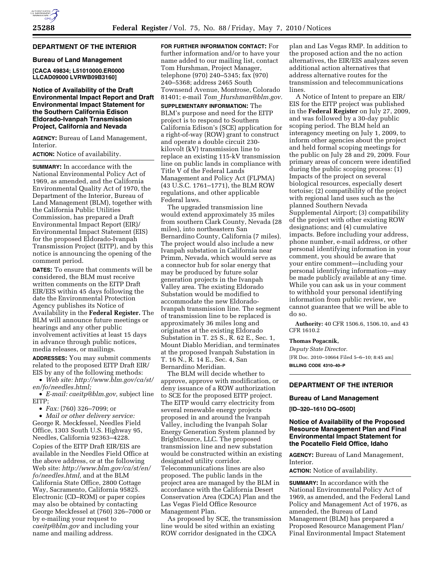## **DEPARTMENT OF THE INTERIOR**

#### **Bureau of Land Management**

**[CACA 49834; L51010000.ER0000 LLCAD09000 LVRWB09B3160]** 

## **Notice of Availability of the Draft Environmental Impact Report and Draft Environmental Impact Statement for the Southern California Edison Eldorado-Ivanpah Transmission Project, California and Nevada**

**AGENCY:** Bureau of Land Management, Interior.

## **ACTION:** Notice of availability.

**SUMMARY:** In accordance with the National Environmental Policy Act of 1969, as amended, and the California Environmental Quality Act of 1970, the Department of the Interior, Bureau of Land Management (BLM), together with the California Public Utilities Commission, has prepared a Draft Environmental Impact Report (EIR)/ Environmental Impact Statement (EIS) for the proposed Eldorado-Ivanpah Transmission Project (EITP), and by this notice is announcing the opening of the comment period.

**DATES:** To ensure that comments will be considered, the BLM must receive written comments on the EITP Draft EIR/EIS within 45 days following the date the Environmental Protection Agency publishes its Notice of Availability in the **Federal Register.** The BLM will announce future meetings or hearings and any other public involvement activities at least 15 days in advance through public notices, media releases, or mailings.

**ADDRESSES:** You may submit comments related to the proposed EITP Draft EIR/ EIS by any of the following methods:

• *Web site: http://www.blm.gov/ca/st/ en/fo/needles.html;* 

• *E-mail: caeitp@blm.gov,* subject line EITP;

• *Fax:* (760) 326–7099; or

• *Mail or other delivery service:*  George R. Meckfessel, Needles Field Office, 1303 South U.S. Highway 95, Needles, California 92363–4228. Copies of the EITP Draft EIR/EIS are available in the Needles Field Office at the above address, or at the following Web site: *http://www.blm.gov/ca/st/en/ fo/needles.html,* and at the BLM California State Office, 2800 Cottage Way, Sacramento, California 95825. Electronic (CD–ROM) or paper copies may also be obtained by contacting George Meckfessel at (760) 326–7000 or by e-mailing your request to *caeitp@blm.gov* and including your name and mailing address.

**FOR FURTHER INFORMATION CONTACT:** For further information and/or to have your name added to our mailing list, contact Tom Hurshman, Project Manager, telephone (970) 240–5345; fax (970) 240–5368; address 2465 South Townsend Avenue, Montrose, Colorado 81401; e-mail *Tom*\_*Hurshman@blm.gov.* 

**SUPPLEMENTARY INFORMATION:** The BLM's purpose and need for the EITP project is to respond to Southern California Edison's (SCE) application for a right-of-way (ROW) grant to construct and operate a double circuit 230 kilovolt (kV) transmission line to replace an existing 115-kV transmission line on public lands in compliance with Title V of the Federal Lands Management and Policy Act (FLPMA) (43 U.S.C. 1761–1771), the BLM ROW regulations, and other applicable Federal laws.

The upgraded transmission line would extend approximately 35 miles from southern Clark County, Nevada (28 miles), into northeastern San Bernardino County, California (7 miles). The project would also include a new Ivanpah substation in California near Primm, Nevada, which would serve as a connector hub for solar energy that may be produced by future solar generation projects in the Ivanpah Valley area. The existing Eldorado Substation would be modified to accommodate the new Eldorado-Ivanpah transmission line. The segment of transmission line to be replaced is approximately 36 miles long and originates at the existing Eldorado Substation in T. 25 S., R. 62 E., Sec. 1, Mount Diablo Meridian, and terminates at the proposed Ivanpah Substation in T. 16 N., R. 14 E., Sec. 4, San Bernardino Meridian.

The BLM will decide whether to approve, approve with modification, or deny issuance of a ROW authorization to SCE for the proposed EITP project. The EITP would carry electricity from several renewable energy projects proposed in and around the Ivanpah Valley, including the Ivanpah Solar Energy Generation System planned by BrightSource, LLC. The proposed transmission line and new substation would be constructed within an existing designated utility corridor. Telecommunications lines are also proposed. The public lands in the project area are managed by the BLM in accordance with the California Desert Conservation Area (CDCA) Plan and the Las Vegas Field Office Resource Management Plan.

As proposed by SCE, the transmission line would be sited within an existing ROW corridor designated in the CDCA

plan and Las Vegas RMP. In addition to the proposed action and the no action alternatives, the EIR/EIS analyzes seven additional action alternatives that address alternative routes for the transmission and telecommunications lines.

A Notice of Intent to prepare an EIR/ EIS for the EITP project was published in the **Federal Register** on July 27, 2009, and was followed by a 30-day public scoping period. The BLM held an interagency meeting on July 1, 2009, to inform other agencies about the project and held formal scoping meetings for the public on July 28 and 29, 2009. Four primary areas of concern were identified during the public scoping process: (1) Impacts of the project on several biological resources, especially desert tortoise; (2) compatibility of the project with regional land uses such as the planned Southern Nevada Supplemental Airport; (3) compatibility of the project with other existing ROW designations; and (4) cumulative impacts. Before including your address, phone number, e-mail address, or other personal identifying information in your comment, you should be aware that your entire comment—including your personal identifying information—may be made publicly available at any time. While you can ask us in your comment to withhold your personal identifying information from public review, we cannot guarantee that we will be able to do so.

**Authority:** 40 CFR 1506.6, 1506.10, and 43 CFR 1610.2

## **Thomas Pogacnik,**

*Deputy State Director.*  [FR Doc. 2010–10664 Filed 5–6–10; 8:45 am] **BILLING CODE 4310–40–P** 

# **DEPARTMENT OF THE INTERIOR**

#### **Bureau of Land Management**

**[ID–320–1610 DQ–050D]** 

## **Notice of Availability of the Proposed Resource Management Plan and Final Environmental Impact Statement for the Pocatello Field Office, Idaho**

**AGENCY:** Bureau of Land Management, Interior.

**ACTION:** Notice of availability.

**SUMMARY:** In accordance with the National Environmental Policy Act of 1969, as amended, and the Federal Land Policy and Management Act of 1976, as amended, the Bureau of Land Management (BLM) has prepared a Proposed Resource Management Plan/ Final Environmental Impact Statement